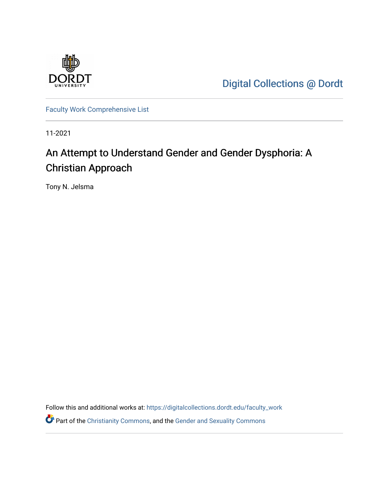

[Digital Collections @ Dordt](https://digitalcollections.dordt.edu/) 

[Faculty Work Comprehensive List](https://digitalcollections.dordt.edu/faculty_work)

11-2021

# An Attempt to Understand Gender and Gender Dysphoria: A Christian Approach

Tony N. Jelsma

Follow this and additional works at: [https://digitalcollections.dordt.edu/faculty\\_work](https://digitalcollections.dordt.edu/faculty_work?utm_source=digitalcollections.dordt.edu%2Ffaculty_work%2F1364&utm_medium=PDF&utm_campaign=PDFCoverPages)  **P** Part of the [Christianity Commons,](http://network.bepress.com/hgg/discipline/1181?utm_source=digitalcollections.dordt.edu%2Ffaculty_work%2F1364&utm_medium=PDF&utm_campaign=PDFCoverPages) and the Gender and Sexuality Commons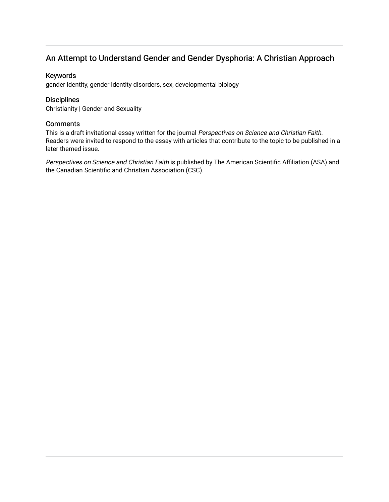# An Attempt to Understand Gender and Gender Dysphoria: A Christian Approach

## Keywords

gender identity, gender identity disorders, sex, developmental biology

# **Disciplines**

Christianity | Gender and Sexuality

## **Comments**

This is a draft invitational essay written for the journal Perspectives on Science and Christian Faith. Readers were invited to respond to the essay with articles that contribute to the topic to be published in a later themed issue.

Perspectives on Science and Christian Faith is published by The American Scientific Affiliation (ASA) and the Canadian Scientific and Christian Association (CSC).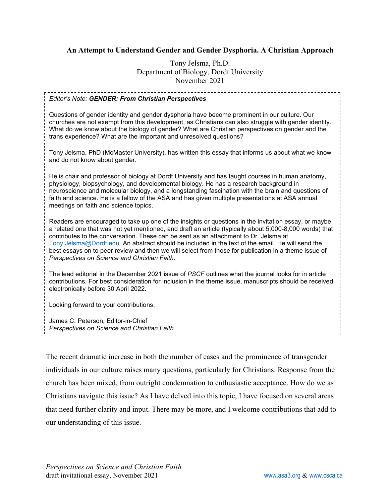# **An Attempt to Understand Gender and Gender Dysphoria. A Christian Approach**

Tony Jelsma, Ph.D. Department of Biology, Dordt University November 2021

#### *Editor's Note: GENDER: From Christian Perspectives*

Questions of gender identity and gender dysphoria have become prominent in our culture. Our churches are not exempt from this development, as Christians can also struggle with gender identity. What do we know about the biology of gender? What are Christian perspectives on gender and the trans experience? What are the important and unresolved questions?

Tony Jelsma, PhD (McMaster University), has written this essay that informs us about what we know and do not know about gender.

He is chair and professor of biology at Dordt University and has taught courses in human anatomy, physiology, biopsychology, and developmental biology. He has a research background in neuroscience and molecular biology, and a longstanding fascination with the brain and questions of faith and science. He is a fellow of the ASA and has given multiple presentations at ASA annual meetings on faith and science topics.

Readers are encouraged to take up one of the insights or questions in the invitation essay, or maybe a related one that was not yet mentioned, and draft an article (typically about 5,000-8,000 words) that contributes to the conversation. These can be sent as an attachment to Dr. Jelsma at [Tony.Jelsma@Dordt.edu.](mailto:Tony.Jelsma@Dordt.edu) An abstract should be included in the text of the email. He will send the best essays on to peer review and then we will select from those for publication in a theme issue of *Perspectives on Science and Christian Faith*.

The lead editorial in the December 2021 issue of *PSCF* outlines what the journal looks for in article contributions. For best consideration for inclusion in the theme issue, manuscripts should be received electronically before 30 April 2022.

Looking forward to your contributions,

James C. Peterson, Editor-in-Chief *Perspectives on Science and Christian Faith*

The recent dramatic increase in both the number of cases and the prominence of transgender individuals in our culture raises many questions, particularly for Christians. Response from the church has been mixed, from outright condemnation to enthusiastic acceptance. How do we as Christians navigate this issue? As I have delved into this topic, I have focused on several areas that need further clarity and input. There may be more, and I welcome contributions that add to our understanding of this issue.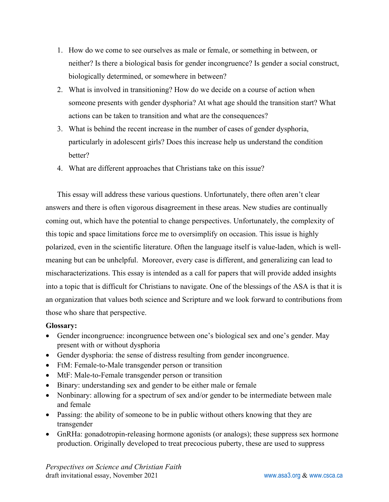- 1. How do we come to see ourselves as male or female, or something in between, or neither? Is there a biological basis for gender incongruence? Is gender a social construct, biologically determined, or somewhere in between?
- 2. What is involved in transitioning? How do we decide on a course of action when someone presents with gender dysphoria? At what age should the transition start? What actions can be taken to transition and what are the consequences?
- 3. What is behind the recent increase in the number of cases of gender dysphoria, particularly in adolescent girls? Does this increase help us understand the condition better?
- 4. What are different approaches that Christians take on this issue?

This essay will address these various questions. Unfortunately, there often aren't clear answers and there is often vigorous disagreement in these areas. New studies are continually coming out, which have the potential to change perspectives. Unfortunately, the complexity of this topic and space limitations force me to oversimplify on occasion. This issue is highly polarized, even in the scientific literature. Often the language itself is value-laden, which is wellmeaning but can be unhelpful. Moreover, every case is different, and generalizing can lead to mischaracterizations. This essay is intended as a call for papers that will provide added insights into a topic that is difficult for Christians to navigate. One of the blessings of the ASA is that it is an organization that values both science and Scripture and we look forward to contributions from those who share that perspective.

# **Glossary:**

- Gender incongruence: incongruence between one's biological sex and one's gender. May present with or without dysphoria
- Gender dysphoria: the sense of distress resulting from gender incongruence.
- FtM: Female-to-Male transgender person or transition
- MtF: Male-to-Female transgender person or transition
- Binary: understanding sex and gender to be either male or female
- Nonbinary: allowing for a spectrum of sex and/or gender to be intermediate between male and female
- Passing: the ability of someone to be in public without others knowing that they are transgender
- GnRHa: gonadotropin-releasing hormone agonists (or analogs); these suppress sex hormone production. Originally developed to treat precocious puberty, these are used to suppress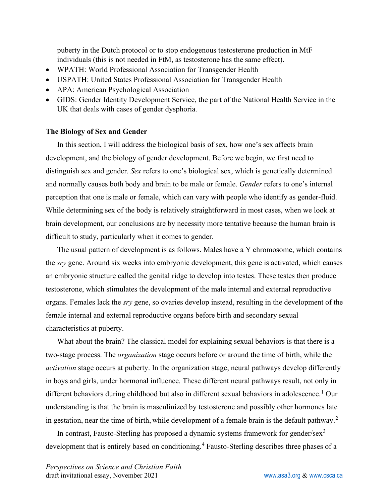puberty in the Dutch protocol or to stop endogenous testosterone production in MtF individuals (this is not needed in FtM, as testosterone has the same effect).

- WPATH: World Professional Association for Transgender Health
- USPATH: United States Professional Association for Transgender Health
- APA: American Psychological Association
- GIDS: Gender Identity Development Service, the part of the National Health Service in the UK that deals with cases of gender dysphoria.

#### **The Biology of Sex and Gender**

In this section, I will address the biological basis of sex, how one's sex affects brain development, and the biology of gender development. Before we begin, we first need to distinguish sex and gender. *Sex* refers to one's biological sex, which is genetically determined and normally causes both body and brain to be male or female. *Gender* refers to one's internal perception that one is male or female, which can vary with people who identify as gender-fluid. While determining sex of the body is relatively straightforward in most cases, when we look at brain development, our conclusions are by necessity more tentative because the human brain is difficult to study, particularly when it comes to gender.

The usual pattern of development is as follows. Males have a Y chromosome, which contains the *sry* gene. Around six weeks into embryonic development, this gene is activated, which causes an embryonic structure called the genital ridge to develop into testes. These testes then produce testosterone, which stimulates the development of the male internal and external reproductive organs. Females lack the *sry* gene, so ovaries develop instead, resulting in the development of the female internal and external reproductive organs before birth and secondary sexual characteristics at puberty.

What about the brain? The classical model for explaining sexual behaviors is that there is a two-stage process. The *organization* stage occurs before or around the time of birth, while the *activation* stage occurs at puberty. In the organization stage, neural pathways develop differently in boys and girls, under hormonal influence. These different neural pathways result, not only in different behaviors during childhood but also in different sexual behaviors in adolescence. [1](#page-20-0) Our understanding is that the brain is masculinized by testosterone and possibly other hormones late in gestation, near the time of birth, while development of a female brain is the default pathway.<sup>[2](#page-20-1)</sup>

In contrast, Fausto-Sterling has proposed a dynamic systems framework for gender/sex<sup>[3](#page-20-2)</sup> development that is entirely based on conditioning. [4](#page-21-0) Fausto-Sterling describes three phases of a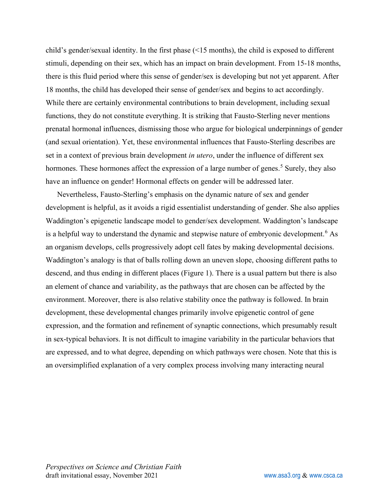child's gender/sexual identity. In the first phase (<15 months), the child is exposed to different stimuli, depending on their sex, which has an impact on brain development. From 15-18 months, there is this fluid period where this sense of gender/sex is developing but not yet apparent. After 18 months, the child has developed their sense of gender/sex and begins to act accordingly. While there are certainly environmental contributions to brain development, including sexual functions, they do not constitute everything. It is striking that Fausto-Sterling never mentions prenatal hormonal influences, dismissing those who argue for biological underpinnings of gender (and sexual orientation). Yet, these environmental influences that Fausto-Sterling describes are set in a context of previous brain development *in utero*, under the influence of different sex hormones. These hormones affect the expression of a large number of genes.<sup>[5](#page-21-1)</sup> Surely, they also have an influence on gender! Hormonal effects on gender will be addressed later.

Nevertheless, Fausto-Sterling's emphasis on the dynamic nature of sex and gender development is helpful, as it avoids a rigid essentialist understanding of gender. She also applies Waddington's epigenetic landscape model to gender/sex development. Waddington's landscape is a helpful way to understand the dynamic and stepwise nature of embryonic development.<sup>[6](#page-21-2)</sup> As an organism develops, cells progressively adopt cell fates by making developmental decisions. Waddington's analogy is that of balls rolling down an uneven slope, choosing different paths to descend, and thus ending in different places (Figure 1). There is a usual pattern but there is also an element of chance and variability, as the pathways that are chosen can be affected by the environment. Moreover, there is also relative stability once the pathway is followed. In brain development, these developmental changes primarily involve epigenetic control of gene expression, and the formation and refinement of synaptic connections, which presumably result in sex-typical behaviors. It is not difficult to imagine variability in the particular behaviors that are expressed, and to what degree, depending on which pathways were chosen. Note that this is an oversimplified explanation of a very complex process involving many interacting neural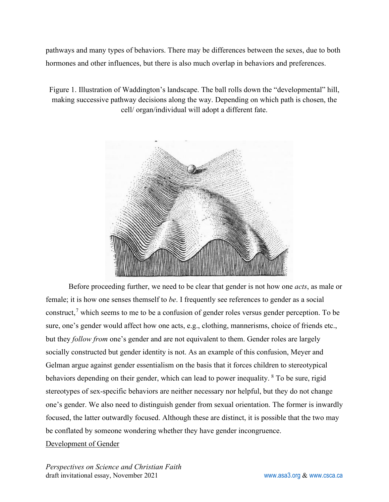pathways and many types of behaviors. There may be differences between the sexes, due to both hormones and other influences, but there is also much overlap in behaviors and preferences.

Figure 1. Illustration of Waddington's landscape. The ball rolls down the "developmental" hill, making successive pathway decisions along the way. Depending on which path is chosen, the cell/ organ/individual will adopt a different fate.



Before proceeding further, we need to be clear that gender is not how one *acts*, as male or female; it is how one senses themself to *be*. I frequently see references to gender as a social construct,<sup>[7](#page-21-3)</sup> which seems to me to be a confusion of gender roles versus gender perception. To be sure, one's gender would affect how one acts, e.g., clothing, mannerisms, choice of friends etc., but they *follow from* one's gender and are not equivalent to them. Gender roles are largely socially constructed but gender identity is not. As an example of this confusion, Meyer and Gelman argue against gender essentialism on the basis that it forces children to stereotypical behaviors depending on their gender, which can lead to power inequality. <sup>[8](#page-21-4)</sup> To be sure, rigid stereotypes of sex-specific behaviors are neither necessary nor helpful, but they do not change one's gender. We also need to distinguish gender from sexual orientation. The former is inwardly focused, the latter outwardly focused. Although these are distinct, it is possible that the two may be conflated by someone wondering whether they have gender incongruence.

# Development of Gender

*Perspectives on Science and Christian Faith* draft invitational essay, November 2021 [www.asa3.org](http://www.asa3.org/) & [www.csca.ca](http://www.csca.ca/)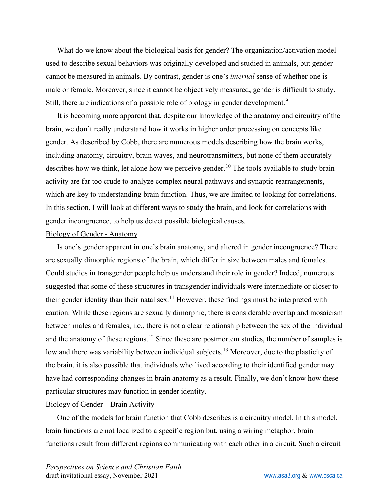What do we know about the biological basis for gender? The organization/activation model used to describe sexual behaviors was originally developed and studied in animals, but gender cannot be measured in animals. By contrast, gender is one's *internal* sense of whether one is male or female. Moreover, since it cannot be objectively measured, gender is difficult to study. Still, there are indications of a possible role of biology in gender development.<sup>[9](#page-21-5)</sup>

It is becoming more apparent that, despite our knowledge of the anatomy and circuitry of the brain, we don't really understand how it works in higher order processing on concepts like gender. As described by Cobb, there are numerous models describing how the brain works, including anatomy, circuitry, brain waves, and neurotransmitters, but none of them accurately describes how we think, let alone how we perceive gender.<sup>[10](#page-21-6)</sup> The tools available to study brain activity are far too crude to analyze complex neural pathways and synaptic rearrangements, which are key to understanding brain function. Thus, we are limited to looking for correlations. In this section, I will look at different ways to study the brain, and look for correlations with gender incongruence, to help us detect possible biological causes.

#### Biology of Gender - Anatomy

Is one's gender apparent in one's brain anatomy, and altered in gender incongruence? There are sexually dimorphic regions of the brain, which differ in size between males and females. Could studies in transgender people help us understand their role in gender? Indeed, numerous suggested that some of these structures in transgender individuals were intermediate or closer to their gender identity than their natal sex.<sup>[11](#page-21-7)</sup> However, these findings must be interpreted with caution. While these regions are sexually dimorphic, there is considerable overlap and mosaicism between males and females, i.e., there is not a clear relationship between the sex of the individual and the anatomy of these regions.<sup>[12](#page-21-8)</sup> Since these are postmortem studies, the number of samples is low and there was variability between individual subjects.<sup>[13](#page-21-9)</sup> Moreover, due to the plasticity of the brain, it is also possible that individuals who lived according to their identified gender may have had corresponding changes in brain anatomy as a result. Finally, we don't know how these particular structures may function in gender identity.

#### Biology of Gender – Brain Activity

One of the models for brain function that Cobb describes is a circuitry model. In this model, brain functions are not localized to a specific region but, using a wiring metaphor, brain functions result from different regions communicating with each other in a circuit. Such a circuit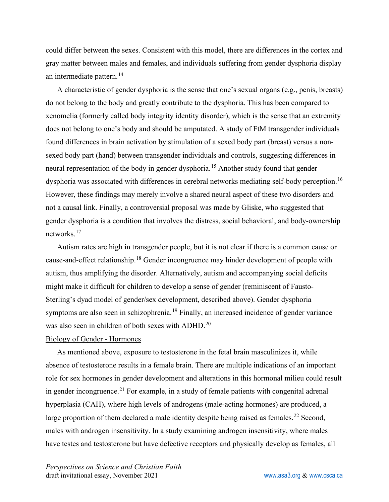could differ between the sexes. Consistent with this model, there are differences in the cortex and gray matter between males and females, and individuals suffering from gender dysphoria display an intermediate pattern.<sup>[14](#page-21-10)</sup>

A characteristic of gender dysphoria is the sense that one's sexual organs (e.g., penis, breasts) do not belong to the body and greatly contribute to the dysphoria. This has been compared to xenomelia (formerly called body integrity identity disorder), which is the sense that an extremity does not belong to one's body and should be amputated. A study of FtM transgender individuals found differences in brain activation by stimulation of a sexed body part (breast) versus a nonsexed body part (hand) between transgender individuals and controls, suggesting differences in neural representation of the body in gender dysphoria.<sup>[15](#page-21-11)</sup> Another study found that gender dysphoria was associated with differences in cerebral networks mediating self-body perception.<sup>[16](#page-21-12)</sup> However, these findings may merely involve a shared neural aspect of these two disorders and not a causal link. Finally, a controversial proposal was made by Gliske, who suggested that gender dysphoria is a condition that involves the distress, social behavioral, and body-ownership networks.[17](#page-21-13)

Autism rates are high in transgender people, but it is not clear if there is a common cause or cause-and-effect relationship.<sup>[18](#page-21-14)</sup> Gender incongruence may hinder development of people with autism, thus amplifying the disorder. Alternatively, autism and accompanying social deficits might make it difficult for children to develop a sense of gender (reminiscent of Fausto-Sterling's dyad model of gender/sex development, described above). Gender dysphoria symptoms are also seen in schizophrenia.<sup>[19](#page-21-15)</sup> Finally, an increased incidence of gender variance was also seen in children of both sexes with ADHD.<sup>[20](#page-22-0)</sup>

#### Biology of Gender - Hormones

As mentioned above, exposure to testosterone in the fetal brain masculinizes it, while absence of testosterone results in a female brain. There are multiple indications of an important role for sex hormones in gender development and alterations in this hormonal milieu could result in gender incongruence.<sup>[21](#page-22-1)</sup> For example, in a study of female patients with congenital adrenal hyperplasia (CAH), where high levels of androgens (male-acting hormones) are produced, a large proportion of them declared a male identity despite being raised as females.<sup>[22](#page-22-2)</sup> Second, males with androgen insensitivity. In a study examining androgen insensitivity, where males have testes and testosterone but have defective receptors and physically develop as females, all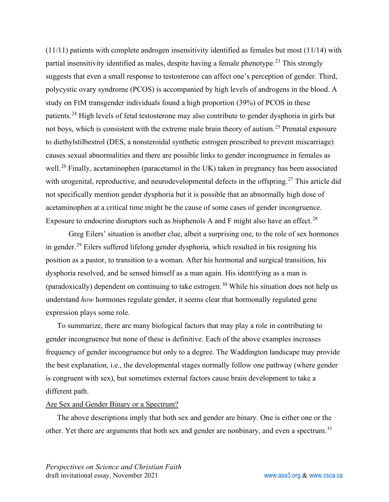(11/11) patients with complete androgen insensitivity identified as females but most (11/14) with partial insensitivity identified as males, despite having a female phenotype.<sup>[23](#page-22-3)</sup> This strongly suggests that even a small response to testosterone can affect one's perception of gender. Third, polycystic ovary syndrome (PCOS) is accompanied by high levels of androgens in the blood. A study on FtM transgender individuals found a high proportion (39%) of PCOS in these patients.<sup>[24](#page-22-4)</sup> High levels of fetal testosterone may also contribute to gender dysphoria in girls but not boys, which is consistent with the extreme male brain theory of autism.[25](#page-22-5) Prenatal exposure to diethylstilbestrol (DES, a nonsteroidal synthetic estrogen prescribed to prevent miscarriage) causes sexual abnormalities and there are possible links to gender incongruence in females as well.<sup>[26](#page-22-6)</sup> Finally, acetaminophen (paracetamol in the UK) taken in pregnancy has been associated with urogenital, reproductive, and neurodevelopmental defects in the offspring.<sup>[27](#page-22-7)</sup> This article did not specifically mention gender dysphoria but it is possible that an abnormally high dose of acetaminophen at a critical time might be the cause of some cases of gender incongruence. Exposure to endocrine disruptors such as bisphenols A and F might also have an effect.<sup>[28](#page-22-8)</sup>

Greg Eilers' situation is another clue, albeit a surprising one, to the role of sex hormones in gender.[29](#page-22-9) Eilers suffered lifelong gender dysphoria, which resulted in his resigning his position as a pastor, to transition to a woman. After his hormonal and surgical transition, his dysphoria resolved, and he sensed himself as a man again. His identifying as a man is (paradoxically) dependent on continuing to take estrogen.<sup>[30](#page-22-10)</sup> While his situation does not help us understand *how* hormones regulate gender, it seems clear that hormonally regulated gene expression plays some role.

To summarize, there are many biological factors that may play a role in contributing to gender incongruence but none of these is definitive. Each of the above examples increases frequency of gender incongruence but only to a degree. The Waddington landscape may provide the best explanation, i.e., the developmental stages normally follow one pathway (where gender is congruent with sex), but sometimes external factors cause brain development to take a different path.

#### Are Sex and Gender Binary or a Spectrum?

The above descriptions imply that both sex and gender are binary. One is either one or the other. Yet there are arguments that both sex and gender are nonbinary, and even a spectrum.<sup>[31](#page-22-11)</sup>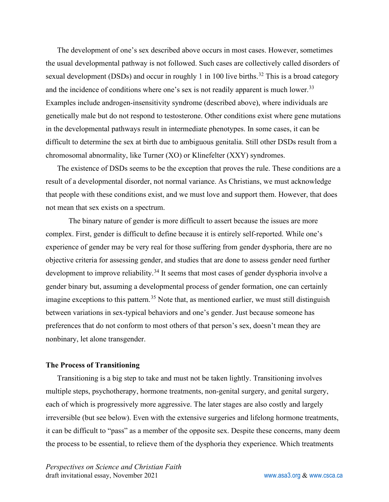The development of one's sex described above occurs in most cases. However, sometimes the usual developmental pathway is not followed. Such cases are collectively called disorders of sexual development (DSDs) and occur in roughly 1 in 100 live births.<sup>[32](#page-22-12)</sup> This is a broad category and the incidence of conditions where one's sex is not readily apparent is much lower.<sup>[33](#page-22-13)</sup> Examples include androgen-insensitivity syndrome (described above), where individuals are genetically male but do not respond to testosterone. Other conditions exist where gene mutations in the developmental pathways result in intermediate phenotypes. In some cases, it can be difficult to determine the sex at birth due to ambiguous genitalia. Still other DSDs result from a chromosomal abnormality, like Turner (XO) or Klinefelter (XXY) syndromes.

The existence of DSDs seems to be the exception that proves the rule. These conditions are a result of a developmental disorder, not normal variance. As Christians, we must acknowledge that people with these conditions exist, and we must love and support them. However, that does not mean that sex exists on a spectrum.

The binary nature of gender is more difficult to assert because the issues are more complex. First, gender is difficult to define because it is entirely self-reported. While one's experience of gender may be very real for those suffering from gender dysphoria, there are no objective criteria for assessing gender, and studies that are done to assess gender need further development to improve reliability.<sup>[34](#page-22-14)</sup> It seems that most cases of gender dysphoria involve a gender binary but, assuming a developmental process of gender formation, one can certainly imagine exceptions to this pattern.<sup>[35](#page-22-15)</sup> Note that, as mentioned earlier, we must still distinguish between variations in sex-typical behaviors and one's gender. Just because someone has preferences that do not conform to most others of that person's sex, doesn't mean they are nonbinary, let alone transgender.

#### **The Process of Transitioning**

Transitioning is a big step to take and must not be taken lightly. Transitioning involves multiple steps, psychotherapy, hormone treatments, non-genital surgery, and genital surgery, each of which is progressively more aggressive. The later stages are also costly and largely irreversible (but see below). Even with the extensive surgeries and lifelong hormone treatments, it can be difficult to "pass" as a member of the opposite sex. Despite these concerns, many deem the process to be essential, to relieve them of the dysphoria they experience. Which treatments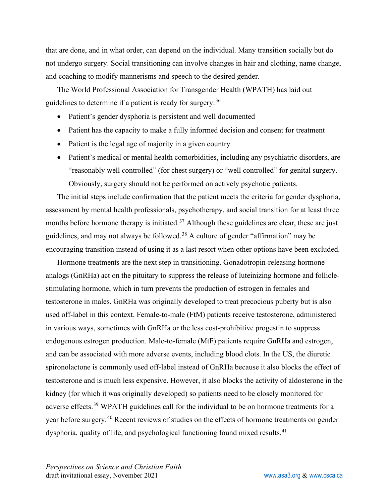that are done, and in what order, can depend on the individual. Many transition socially but do not undergo surgery. Social transitioning can involve changes in hair and clothing, name change, and coaching to modify mannerisms and speech to the desired gender.

The World Professional Association for Transgender Health (WPATH) has laid out guidelines to determine if a patient is ready for surgery:<sup>[36](#page-22-16)</sup>

- Patient's gender dysphoria is persistent and well documented
- Patient has the capacity to make a fully informed decision and consent for treatment
- Patient is the legal age of majority in a given country
- Patient's medical or mental health comorbidities, including any psychiatric disorders, are "reasonably well controlled" (for chest surgery) or "well controlled" for genital surgery. Obviously, surgery should not be performed on actively psychotic patients.

The initial steps include confirmation that the patient meets the criteria for gender dysphoria, assessment by mental health professionals, psychotherapy, and social transition for at least three months before hormone therapy is initiated.<sup>[37](#page-22-17)</sup> Although these guidelines are clear, these are just guidelines, and may not always be followed.[38](#page-23-0) A culture of gender "affirmation" may be encouraging transition instead of using it as a last resort when other options have been excluded.

Hormone treatments are the next step in transitioning. Gonadotropin-releasing hormone analogs (GnRHa) act on the pituitary to suppress the release of luteinizing hormone and folliclestimulating hormone, which in turn prevents the production of estrogen in females and testosterone in males. GnRHa was originally developed to treat precocious puberty but is also used off-label in this context. Female-to-male (FtM) patients receive testosterone, administered in various ways, sometimes with GnRHa or the less cost-prohibitive progestin to suppress endogenous estrogen production. Male-to-female (MtF) patients require GnRHa and estrogen, and can be associated with more adverse events, including blood clots. In the US, the diuretic spironolactone is commonly used off-label instead of GnRHa because it also blocks the effect of testosterone and is much less expensive. However, it also blocks the activity of aldosterone in the kidney (for which it was originally developed) so patients need to be closely monitored for adverse effects.<sup>[39](#page-23-1)</sup> WPATH guidelines call for the individual to be on hormone treatments for a year before surgery.[40](#page-23-2) Recent reviews of studies on the effects of hormone treatments on gender dysphoria, quality of life, and psychological functioning found mixed results.<sup>[41](#page-23-3)</sup>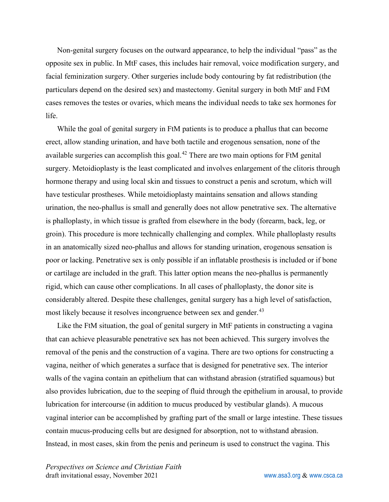Non-genital surgery focuses on the outward appearance, to help the individual "pass" as the opposite sex in public. In MtF cases, this includes hair removal, voice modification surgery, and facial feminization surgery. Other surgeries include body contouring by fat redistribution (the particulars depend on the desired sex) and mastectomy. Genital surgery in both MtF and FtM cases removes the testes or ovaries, which means the individual needs to take sex hormones for life.

While the goal of genital surgery in FtM patients is to produce a phallus that can become erect, allow standing urination, and have both tactile and erogenous sensation, none of the available surgeries can accomplish this goal. $42$  There are two main options for FtM genital surgery. Metoidioplasty is the least complicated and involves enlargement of the clitoris through hormone therapy and using local skin and tissues to construct a penis and scrotum, which will have testicular prostheses. While metoidioplasty maintains sensation and allows standing urination, the neo-phallus is small and generally does not allow penetrative sex. The alternative is phalloplasty, in which tissue is grafted from elsewhere in the body (forearm, back, leg, or groin). This procedure is more technically challenging and complex. While phalloplasty results in an anatomically sized neo-phallus and allows for standing urination, erogenous sensation is poor or lacking. Penetrative sex is only possible if an inflatable prosthesis is included or if bone or cartilage are included in the graft. This latter option means the neo-phallus is permanently rigid, which can cause other complications. In all cases of phalloplasty, the donor site is considerably altered. Despite these challenges, genital surgery has a high level of satisfaction, most likely because it resolves incongruence between sex and gender.<sup>[43](#page-23-5)</sup>

Like the FtM situation, the goal of genital surgery in MtF patients in constructing a vagina that can achieve pleasurable penetrative sex has not been achieved. This surgery involves the removal of the penis and the construction of a vagina. There are two options for constructing a vagina, neither of which generates a surface that is designed for penetrative sex. The interior walls of the vagina contain an epithelium that can withstand abrasion (stratified squamous) but also provides lubrication, due to the seeping of fluid through the epithelium in arousal, to provide lubrication for intercourse (in addition to mucus produced by vestibular glands). A mucous vaginal interior can be accomplished by grafting part of the small or large intestine. These tissues contain mucus-producing cells but are designed for absorption, not to withstand abrasion. Instead, in most cases, skin from the penis and perineum is used to construct the vagina. This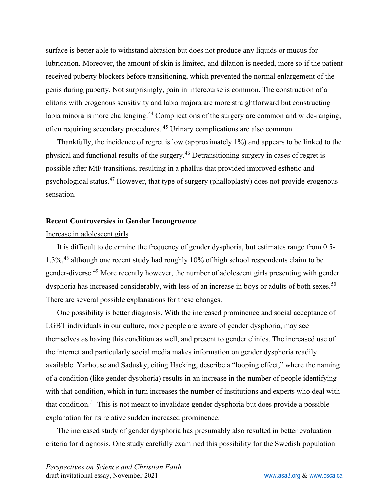surface is better able to withstand abrasion but does not produce any liquids or mucus for lubrication. Moreover, the amount of skin is limited, and dilation is needed, more so if the patient received puberty blockers before transitioning, which prevented the normal enlargement of the penis during puberty. Not surprisingly, pain in intercourse is common. The construction of a clitoris with erogenous sensitivity and labia majora are more straightforward but constructing labia minora is more challenging.<sup>[44](#page-23-6)</sup> Complications of the surgery are common and wide-ranging, often requiring secondary procedures. [45](#page-23-7) Urinary complications are also common.

Thankfully, the incidence of regret is low (approximately 1%) and appears to be linked to the physical and functional results of the surgery.[46](#page-23-8) Detransitioning surgery in cases of regret is possible after MtF transitions, resulting in a phallus that provided improved esthetic and psychological status.[47](#page-23-9) However, that type of surgery (phalloplasty) does not provide erogenous sensation.

#### **Recent Controversies in Gender Incongruence**

#### Increase in adolescent girls

It is difficult to determine the frequency of gender dysphoria, but estimates range from 0.5- 1.3%, [48](#page-23-10) although one recent study had roughly 10% of high school respondents claim to be gender-diverse.<sup>[49](#page-23-11)</sup> More recently however, the number of adolescent girls presenting with gender dysphoria has increased considerably, with less of an increase in boys or adults of both sexes.<sup>[50](#page-23-12)</sup> There are several possible explanations for these changes.

One possibility is better diagnosis. With the increased prominence and social acceptance of LGBT individuals in our culture, more people are aware of gender dysphoria, may see themselves as having this condition as well, and present to gender clinics. The increased use of the internet and particularly social media makes information on gender dysphoria readily available. Yarhouse and Sadusky, citing Hacking, describe a "looping effect," where the naming of a condition (like gender dysphoria) results in an increase in the number of people identifying with that condition, which in turn increases the number of institutions and experts who deal with that condition.[51](#page-23-13) This is not meant to invalidate gender dysphoria but does provide a possible explanation for its relative sudden increased prominence.

The increased study of gender dysphoria has presumably also resulted in better evaluation criteria for diagnosis. One study carefully examined this possibility for the Swedish population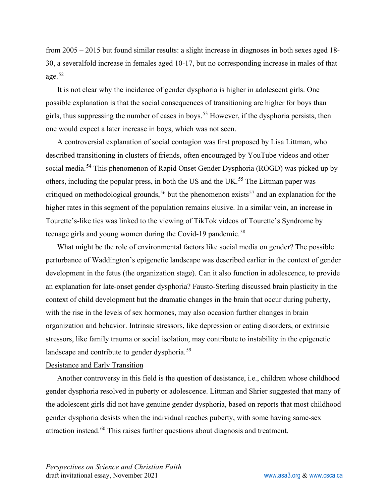from 2005 – 2015 but found similar results: a slight increase in diagnoses in both sexes aged 18- 30, a severalfold increase in females aged 10-17, but no corresponding increase in males of that age.[52](#page-23-14)

It is not clear why the incidence of gender dysphoria is higher in adolescent girls. One possible explanation is that the social consequences of transitioning are higher for boys than girls, thus suppressing the number of cases in boys.<sup>[53](#page-23-15)</sup> However, if the dysphoria persists, then one would expect a later increase in boys, which was not seen.

A controversial explanation of social contagion was first proposed by Lisa Littman, who described transitioning in clusters of friends, often encouraged by YouTube videos and other social media.<sup>[54](#page-23-16)</sup> This phenomenon of Rapid Onset Gender Dysphoria (ROGD) was picked up by others, including the popular press, in both the US and the UK.<sup>[55](#page-24-0)</sup> The Littman paper was critiqued on methodological grounds,<sup>[56](#page-24-1)</sup> but the phenomenon exists<sup>[57](#page-24-2)</sup> and an explanation for the higher rates in this segment of the population remains elusive. In a similar vein, an increase in Tourette's-like tics was linked to the viewing of TikTok videos of Tourette's Syndrome by teenage girls and young women during the Covid-19 pandemic.<sup>[58](#page-24-3)</sup>

What might be the role of environmental factors like social media on gender? The possible perturbance of Waddington's epigenetic landscape was described earlier in the context of gender development in the fetus (the organization stage). Can it also function in adolescence, to provide an explanation for late-onset gender dysphoria? Fausto-Sterling discussed brain plasticity in the context of child development but the dramatic changes in the brain that occur during puberty, with the rise in the levels of sex hormones, may also occasion further changes in brain organization and behavior. Intrinsic stressors, like depression or eating disorders, or extrinsic stressors, like family trauma or social isolation, may contribute to instability in the epigenetic landscape and contribute to gender dysphoria.<sup>[59](#page-24-4)</sup>

#### Desistance and Early Transition

Another controversy in this field is the question of desistance, i.e., children whose childhood gender dysphoria resolved in puberty or adolescence. Littman and Shrier suggested that many of the adolescent girls did not have genuine gender dysphoria, based on reports that most childhood gender dysphoria desists when the individual reaches puberty, with some having same-sex attraction instead.<sup>[60](#page-24-5)</sup> This raises further questions about diagnosis and treatment.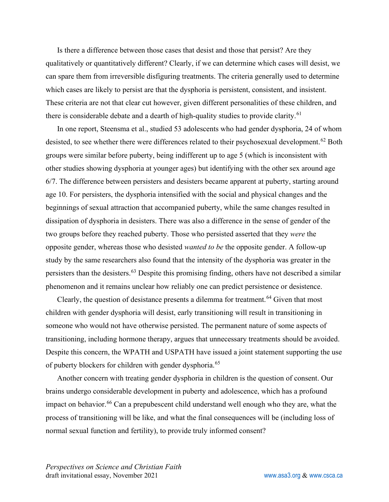Is there a difference between those cases that desist and those that persist? Are they qualitatively or quantitatively different? Clearly, if we can determine which cases will desist, we can spare them from irreversible disfiguring treatments. The criteria generally used to determine which cases are likely to persist are that the dysphoria is persistent, consistent, and insistent. These criteria are not that clear cut however, given different personalities of these children, and there is considerable debate and a dearth of high-quality studies to provide clarity.<sup>[61](#page-24-6)</sup>

In one report, Steensma et al., studied 53 adolescents who had gender dysphoria, 24 of whom desisted, to see whether there were differences related to their psychosexual development.<sup>[62](#page-24-7)</sup> Both groups were similar before puberty, being indifferent up to age 5 (which is inconsistent with other studies showing dysphoria at younger ages) but identifying with the other sex around age 6/7. The difference between persisters and desisters became apparent at puberty, starting around age 10. For persisters, the dysphoria intensified with the social and physical changes and the beginnings of sexual attraction that accompanied puberty, while the same changes resulted in dissipation of dysphoria in desisters. There was also a difference in the sense of gender of the two groups before they reached puberty. Those who persisted asserted that they *were* the opposite gender, whereas those who desisted *wanted to be* the opposite gender. A follow-up study by the same researchers also found that the intensity of the dysphoria was greater in the persisters than the desisters.[63](#page-24-8) Despite this promising finding, others have not described a similar phenomenon and it remains unclear how reliably one can predict persistence or desistence.

Clearly, the question of desistance presents a dilemma for treatment. $64$  Given that most children with gender dysphoria will desist, early transitioning will result in transitioning in someone who would not have otherwise persisted. The permanent nature of some aspects of transitioning, including hormone therapy, argues that unnecessary treatments should be avoided. Despite this concern, the WPATH and USPATH have issued a joint statement supporting the use of puberty blockers for children with gender dysphoria.<sup>[65](#page-24-10)</sup>

Another concern with treating gender dysphoria in children is the question of consent. Our brains undergo considerable development in puberty and adolescence, which has a profound impact on behavior.<sup>[66](#page-24-11)</sup> Can a prepubescent child understand well enough who they are, what the process of transitioning will be like, and what the final consequences will be (including loss of normal sexual function and fertility), to provide truly informed consent?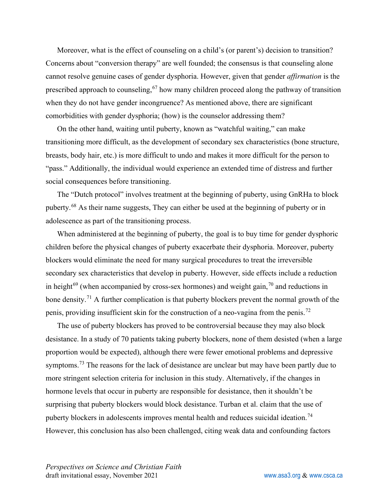Moreover, what is the effect of counseling on a child's (or parent's) decision to transition? Concerns about "conversion therapy" are well founded; the consensus is that counseling alone cannot resolve genuine cases of gender dysphoria. However, given that gender *affirmation* is the prescribed approach to counseling,  $67$  how many children proceed along the pathway of transition when they do not have gender incongruence? As mentioned above, there are significant comorbidities with gender dysphoria; (how) is the counselor addressing them?

On the other hand, waiting until puberty, known as "watchful waiting," can make transitioning more difficult, as the development of secondary sex characteristics (bone structure, breasts, body hair, etc.) is more difficult to undo and makes it more difficult for the person to "pass." Additionally, the individual would experience an extended time of distress and further social consequences before transitioning.

The "Dutch protocol" involves treatment at the beginning of puberty, using GnRHa to block puberty.<sup>[68](#page-24-13)</sup> As their name suggests, They can either be used at the beginning of puberty or in adolescence as part of the transitioning process.

When administered at the beginning of puberty, the goal is to buy time for gender dysphoric children before the physical changes of puberty exacerbate their dysphoria. Moreover, puberty blockers would eliminate the need for many surgical procedures to treat the irreversible secondary sex characteristics that develop in puberty. However, side effects include a reduction in height<sup>[69](#page-24-14)</sup> (when accompanied by cross-sex hormones) and weight gain,<sup>[70](#page-24-15)</sup> and reductions in bone density.<sup>[71](#page-24-16)</sup> A further complication is that puberty blockers prevent the normal growth of the penis, providing insufficient skin for the construction of a neo-vagina from the penis.[72](#page-25-0)

The use of puberty blockers has proved to be controversial because they may also block desistance. In a study of 70 patients taking puberty blockers, none of them desisted (when a large proportion would be expected), although there were fewer emotional problems and depressive symptoms.<sup>[73](#page-25-1)</sup> The reasons for the lack of desistance are unclear but may have been partly due to more stringent selection criteria for inclusion in this study. Alternatively, if the changes in hormone levels that occur in puberty are responsible for desistance, then it shouldn't be surprising that puberty blockers would block desistance. Turban et al. claim that the use of puberty blockers in adolescents improves mental health and reduces suicidal ideation.<sup>[74](#page-25-2)</sup> However, this conclusion has also been challenged, citing weak data and confounding factors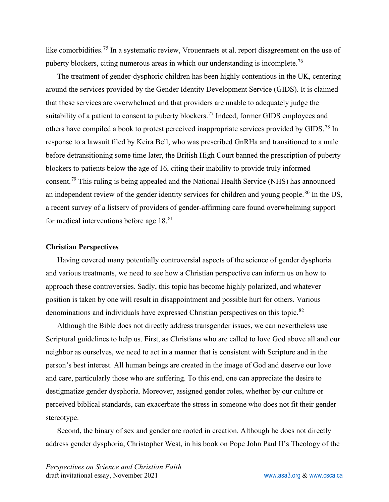like comorbidities.<sup>[75](#page-25-3)</sup> In a systematic review, Vrouenraets et al. report disagreement on the use of puberty blockers, citing numerous areas in which our understanding is incomplete.[76](#page-25-4)

The treatment of gender-dysphoric children has been highly contentious in the UK, centering around the services provided by the Gender Identity Development Service (GIDS). It is claimed that these services are overwhelmed and that providers are unable to adequately judge the suitability of a patient to consent to puberty blockers.<sup>[77](#page-25-5)</sup> Indeed, former GIDS employees and others have compiled a book to protest perceived inappropriate services provided by GIDS.[78](#page-25-6) In response to a lawsuit filed by Keira Bell, who was prescribed GnRHa and transitioned to a male before detransitioning some time later, the British High Court banned the prescription of puberty blockers to patients below the age of 16, citing their inability to provide truly informed consent.[79](#page-25-7) This ruling is being appealed and the National Health Service (NHS) has announced an independent review of the gender identity services for children and young people.<sup>[80](#page-25-8)</sup> In the US, a recent survey of a listserv of providers of gender-affirming care found overwhelming support for medical interventions before age 18.<sup>[81](#page-25-9)</sup>

#### **Christian Perspectives**

Having covered many potentially controversial aspects of the science of gender dysphoria and various treatments, we need to see how a Christian perspective can inform us on how to approach these controversies. Sadly, this topic has become highly polarized, and whatever position is taken by one will result in disappointment and possible hurt for others. Various denominations and individuals have expressed Christian perspectives on this topic.<sup>[82](#page-25-10)</sup>

Although the Bible does not directly address transgender issues, we can nevertheless use Scriptural guidelines to help us. First, as Christians who are called to love God above all and our neighbor as ourselves, we need to act in a manner that is consistent with Scripture and in the person's best interest. All human beings are created in the image of God and deserve our love and care, particularly those who are suffering. To this end, one can appreciate the desire to destigmatize gender dysphoria. Moreover, assigned gender roles, whether by our culture or perceived biblical standards, can exacerbate the stress in someone who does not fit their gender stereotype.

Second, the binary of sex and gender are rooted in creation. Although he does not directly address gender dysphoria, Christopher West, in his book on Pope John Paul II's Theology of the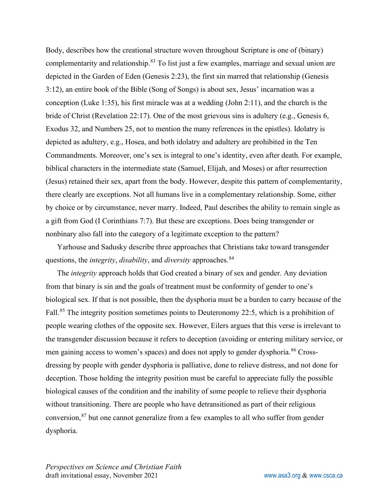Body, describes how the creational structure woven throughout Scripture is one of (binary) complementarity and relationship.<sup>[83](#page-25-11)</sup> To list just a few examples, marriage and sexual union are depicted in the Garden of Eden (Genesis 2:23), the first sin marred that relationship (Genesis 3:12), an entire book of the Bible (Song of Songs) is about sex, Jesus' incarnation was a conception (Luke 1:35), his first miracle was at a wedding (John 2:11), and the church is the bride of Christ (Revelation 22:17). One of the most grievous sins is adultery (e.g., Genesis 6, Exodus 32, and Numbers 25, not to mention the many references in the epistles). Idolatry is depicted as adultery, e.g., Hosea, and both idolatry and adultery are prohibited in the Ten Commandments. Moreover, one's sex is integral to one's identity, even after death. For example, biblical characters in the intermediate state (Samuel, Elijah, and Moses) or after resurrection (Jesus) retained their sex, apart from the body. However, despite this pattern of complementarity, there clearly are exceptions. Not all humans live in a complementary relationship. Some, either by choice or by circumstance, never marry. Indeed, Paul describes the ability to remain single as a gift from God (I Corinthians 7:7). But these are exceptions. Does being transgender or nonbinary also fall into the category of a legitimate exception to the pattern?

Yarhouse and Sadusky describe three approaches that Christians take toward transgender questions, the *integrity*, *disability*, and *diversity* approaches.[84](#page-25-12)

The *integrity* approach holds that God created a binary of sex and gender. Any deviation from that binary is sin and the goals of treatment must be conformity of gender to one's biological sex. If that is not possible, then the dysphoria must be a burden to carry because of the Fall.<sup>[85](#page-25-13)</sup> The integrity position sometimes points to Deuteronomy 22:5, which is a prohibition of people wearing clothes of the opposite sex. However, Eilers argues that this verse is irrelevant to the transgender discussion because it refers to deception (avoiding or entering military service, or men gaining access to women's spaces) and does not apply to gender dysphoria.<sup>[86](#page-25-14)</sup> Crossdressing by people with gender dysphoria is palliative, done to relieve distress, and not done for deception. Those holding the integrity position must be careful to appreciate fully the possible biological causes of the condition and the inability of some people to relieve their dysphoria without transitioning. There are people who have detransitioned as part of their religious conversion, $87$  but one cannot generalize from a few examples to all who suffer from gender dysphoria.

*Perspectives on Science and Christian Faith* draft invitational essay, November 2021 variable variable [www.asa3.org](http://www.asa3.org/) & [www.csca.ca](http://www.csca.ca/)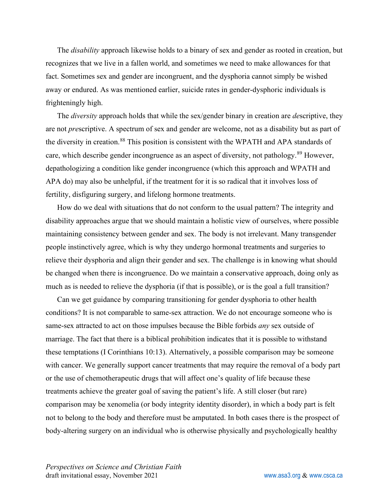The *disability* approach likewise holds to a binary of sex and gender as rooted in creation, but recognizes that we live in a fallen world, and sometimes we need to make allowances for that fact. Sometimes sex and gender are incongruent, and the dysphoria cannot simply be wished away or endured. As was mentioned earlier, suicide rates in gender-dysphoric individuals is frighteningly high.

The *diversity* approach holds that while the sex/gender binary in creation are *de*scriptive, they are not *pre*scriptive. A spectrum of sex and gender are welcome, not as a disability but as part of the diversity in creation.<sup>[88](#page-25-16)</sup> This position is consistent with the WPATH and APA standards of care, which describe gender incongruence as an aspect of diversity, not pathology.<sup>[89](#page-25-17)</sup> However, depathologizing a condition like gender incongruence (which this approach and WPATH and APA do) may also be unhelpful, if the treatment for it is so radical that it involves loss of fertility, disfiguring surgery, and lifelong hormone treatments.

How do we deal with situations that do not conform to the usual pattern? The integrity and disability approaches argue that we should maintain a holistic view of ourselves, where possible maintaining consistency between gender and sex. The body is not irrelevant. Many transgender people instinctively agree, which is why they undergo hormonal treatments and surgeries to relieve their dysphoria and align their gender and sex. The challenge is in knowing what should be changed when there is incongruence. Do we maintain a conservative approach, doing only as much as is needed to relieve the dysphoria (if that is possible), or is the goal a full transition?

Can we get guidance by comparing transitioning for gender dysphoria to other health conditions? It is not comparable to same-sex attraction. We do not encourage someone who is same-sex attracted to act on those impulses because the Bible forbids *any* sex outside of marriage. The fact that there is a biblical prohibition indicates that it is possible to withstand these temptations (I Corinthians 10:13). Alternatively, a possible comparison may be someone with cancer. We generally support cancer treatments that may require the removal of a body part or the use of chemotherapeutic drugs that will affect one's quality of life because these treatments achieve the greater goal of saving the patient's life. A still closer (but rare) comparison may be xenomelia (or body integrity identity disorder), in which a body part is felt not to belong to the body and therefore must be amputated. In both cases there is the prospect of body-altering surgery on an individual who is otherwise physically and psychologically healthy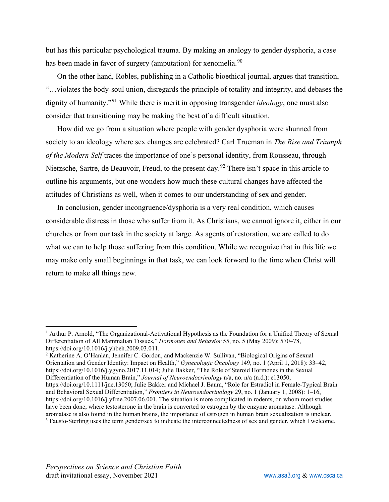but has this particular psychological trauma. By making an analogy to gender dysphoria, a case has been made in favor of surgery (amputation) for xenomelia.<sup>[90](#page-25-18)</sup>

On the other hand, Robles, publishing in a Catholic bioethical journal, argues that transition, "…violates the body-soul union, disregards the principle of totality and integrity, and debases the dignity of humanity."[91](#page-25-19) While there is merit in opposing transgender *ideology*, one must also consider that transitioning may be making the best of a difficult situation.

How did we go from a situation where people with gender dysphoria were shunned from society to an ideology where sex changes are celebrated? Carl Trueman in *The Rise and Triumph of the Modern Self* traces the importance of one's personal identity, from Rousseau, through Nietzsche, Sartre, de Beauvoir, Freud, to the present day.<sup>[92](#page-25-20)</sup> There isn't space in this article to outline his arguments, but one wonders how much these cultural changes have affected the attitudes of Christians as well, when it comes to our understanding of sex and gender.

In conclusion, gender incongruence/dysphoria is a very real condition, which causes considerable distress in those who suffer from it. As Christians, we cannot ignore it, either in our churches or from our task in the society at large. As agents of restoration, we are called to do what we can to help those suffering from this condition. While we recognize that in this life we may make only small beginnings in that task, we can look forward to the time when Christ will return to make all things new.

<span id="page-20-0"></span><sup>&</sup>lt;sup>1</sup> Arthur P. Arnold, "The Organizational-Activational Hypothesis as the Foundation for a Unified Theory of Sexual Differentiation of All Mammalian Tissues," *Hormones and Behavior* 55, no. 5 (May 2009): 570–78, https://doi.org/10.1016/j.yhbeh.2009.03.011.

<span id="page-20-1"></span><sup>&</sup>lt;sup>2</sup> Katherine A. O'Hanlan, Jennifer C. Gordon, and Mackenzie W. Sullivan, "Biological Origins of Sexual Orientation and Gender Identity: Impact on Health," *Gynecologic Oncology* 149, no. 1 (April 1, 2018): 33–42, https://doi.org/10.1016/j.ygyno.2017.11.014; Julie Bakker, "The Role of Steroid Hormones in the Sexual Differentiation of the Human Brain," *Journal of Neuroendocrinology* n/a, no. n/a (n.d.): e13050,

<span id="page-20-2"></span>https://doi.org/10.1111/jne.13050; Julie Bakker and Michael J. Baum, "Role for Estradiol in Female-Typical Brain and Behavioral Sexual Differentiation," *Frontiers in Neuroendocrinology* 29, no. 1 (January 1, 2008): 1–16, https://doi.org/10.1016/j.yfrne.2007.06.001. The situation is more complicated in rodents, on whom most studies have been done, where testosterone in the brain is converted to estrogen by the enzyme aromatase. Although aromatase is also found in the human brains, the importance of estrogen in human brain sexualization is unclear. <sup>3</sup> Fausto-Sterling uses the term gender/sex to indicate the interconnectedness of sex and gender, which I welcome.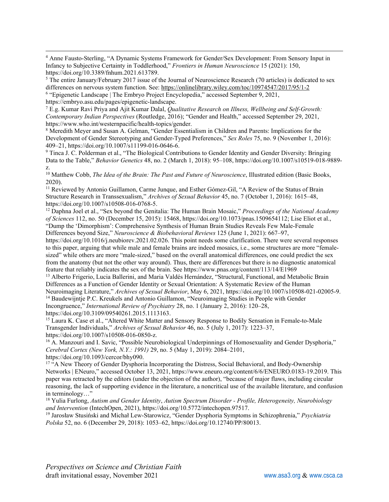<span id="page-21-0"></span><sup>4</sup> Anne Fausto-Sterling, "A Dynamic Systems Framework for Gender/Sex Development: From Sensory Input in Infancy to Subjective Certainty in Toddlerhood," *Frontiers in Human Neuroscience* 15 (2021): 150, https://doi.org/10.3389/fnhum.2021.613789.

<span id="page-21-1"></span><sup>5</sup> The entire January/February 2017 issue of the Journal of Neuroscience Research (70 articles) is dedicated to sex differences on nervous system function. See:<https://onlinelibrary.wiley.com/toc/10974547/2017/95/1-2>

<span id="page-21-2"></span><sup>6</sup> "Epigenetic Landscape | The Embryo Project Encyclopedia," accessed September 9, 2021, https://embryo.asu.edu/pages/epigenetic-landscape.

<span id="page-21-3"></span><sup>7</sup> E.g. Kumar Ravi Priya and Ajit Kumar Dalal, *Qualitative Research on Illness, Wellbeing and Self-Growth: Contemporary Indian Perspectives* (Routledge, 2016); "Gender and Health," accessed September 29, 2021, https://www.who.int/westernpacific/health-topics/gender.

<span id="page-21-4"></span><sup>8</sup> Meredith Meyer and Susan A. Gelman, "Gender Essentialism in Children and Parents: Implications for the Development of Gender Stereotyping and Gender-Typed Preferences," *Sex Roles* 75, no. 9 (November 1, 2016): 409–21, https://doi.org/10.1007/s11199-016-0646-6.

<span id="page-21-5"></span><sup>9</sup> Tinca J. C. Polderman et al., "The Biological Contributions to Gender Identity and Gender Diversity: Bringing Data to the Table," *Behavior Genetics* 48, no. 2 (March 1, 2018): 95–108, https://doi.org/10.1007/s10519-018-9889 z.

<span id="page-21-6"></span><sup>10</sup> Matthew Cobb, *The Idea of the Brain: The Past and Future of Neuroscience*, Illustrated edition (Basic Books, 2020).

<span id="page-21-7"></span><sup>11</sup> Reviewed by Antonio Guillamon, Carme Junque, and Esther Gómez-Gil, "A Review of the Status of Brain Structure Research in Transsexualism," *Archives of Sexual Behavior* 45, no. 7 (October 1, 2016): 1615–48, https://doi.org/10.1007/s10508-016-0768-5.

<span id="page-21-8"></span><sup>12</sup> Daphna Joel et al., "Sex beyond the Genitalia: The Human Brain Mosaic," *Proceedings of the National Academy of Sciences* 112, no. 50 (December 15, 2015): 15468, https://doi.org/10.1073/pnas.1509654112; Lise Eliot et al., "Dump the 'Dimorphism': Comprehensive Synthesis of Human Brain Studies Reveals Few Male-Female Differences beyond Size," *Neuroscience & Biobehavioral Reviews* 125 (June 1, 2021): 667–97,

https://doi.org/10.1016/j.neubiorev.2021.02.026. This point needs some clarification. There were several responses to this paper, arguing that while male and female brains are indeed mosaics, i.e., some structures are more "femalesized" while others are more "male-sized," based on the overall anatomical differences, one could predict the sex from the anatomy (but not the other way around). Thus, there are differences but there is no diagnostic anatomical feature that reliably indicates the sex of the brain. See https://www.pnas.org/content/113/14/E1969

<span id="page-21-9"></span><sup>13</sup> Alberto Frigerio, Lucia Ballerini, and Maria Valdés Hernández, "Structural, Functional, and Metabolic Brain Differences as a Function of Gender Identity or Sexual Orientation: A Systematic Review of the Human Neuroimaging Literature," *Archives of Sexual Behavior*, May 6, 2021, https://doi.org/10.1007/s10508-021-02005-9.

<span id="page-21-10"></span><sup>14</sup> Baudewijntje P.C. Kreukels and Antonio Guillamon, "Neuroimaging Studies in People with Gender Incongruence," *International Review of Psychiatry* 28, no. 1 (January 2, 2016): 120–28, https://doi.org/10.3109/09540261.2015.1113163.

<span id="page-21-11"></span><sup>15</sup> Laura K. Case et al., "Altered White Matter and Sensory Response to Bodily Sensation in Female-to-Male Transgender Individuals," *Archives of Sexual Behavior* 46, no. 5 (July 1, 2017): 1223–37, https://doi.org/10.1007/s10508-016-0850-z.

<span id="page-21-12"></span><sup>16</sup> A. Manzouri and I. Savic, "Possible Neurobiological Underpinnings of Homosexuality and Gender Dysphoria," *Cerebral Cortex (New York, N.Y.: 1991)* 29, no. 5 (May 1, 2019): 2084–2101, https://doi.org/10.1093/cercor/bhy090.

<span id="page-21-13"></span><sup>17</sup> "A New Theory of Gender Dysphoria Incorporating the Distress, Social Behavioral, and Body-Ownership Networks | ENeuro," accessed October 13, 2021, https://www.eneuro.org/content/6/6/ENEURO.0183-19.2019. This paper was retracted by the editors (under the objection of the author), "because of major flaws, including circular reasoning, the lack of supporting evidence in the literature, a noncritical use of the available literature, and confusion in terminology…"

<span id="page-21-14"></span><sup>18</sup> Yulia Furlong, *Autism and Gender Identity*, *Autism Spectrum Disorder - Profile, Heterogeneity, Neurobiology and Intervention* (IntechOpen, 2021), https://doi.org/10.5772/intechopen.97517.

<span id="page-21-15"></span><sup>19</sup> Jarosław Stusiński and Michał Lew-Starowicz, "Gender Dysphoria Symptoms in Schizophrenia," *Psychiatria Polska* 52, no. 6 (December 29, 2018): 1053–62, https://doi.org/10.12740/PP/80013.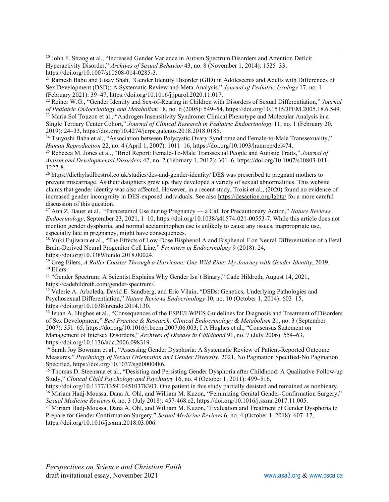<span id="page-22-0"></span><sup>20</sup> John F. Strang et al., "Increased Gender Variance in Autism Spectrum Disorders and Attention Deficit Hyperactivity Disorder," *Archives of Sexual Behavior* 43, no. 8 (November 1, 2014): 1525–33, https://doi.org/10.1007/s10508-014-0285-3.

<span id="page-22-1"></span><sup>21</sup> Ramesh Babu and Utsav Shah, "Gender Identity Disorder (GID) in Adolescents and Adults with Differences of Sex Development (DSD): A Systematic Review and Meta-Analysis," *Journal of Pediatric Urology* 17, no. 1 (February 2021): 39–47, https://doi.org/10.1016/j.jpurol.2020.11.017.

<span id="page-22-3"></span><span id="page-22-2"></span><sup>22</sup> Reiner W.G., "Gender Identity and Sex-of-Rearing in Children with Disorders of Sexual Differentiation," *Journal of Pediatric Endocrinology and Metabolism* 18, no. 6 (2005): 549–54, https://doi.org/10.1515/JPEM.2005.18.6.549. <sup>23</sup> Maria Sol Touzon et al., "Androgen Insensitivity Syndrome: Clinical Phenotype and Molecular Analysis in a Single Tertiary Center Cohort," *Journal of Clinical Research in Pediatric Endocrinology* 11, no. 1 (February 20,

2019): 24–33, https://doi.org/10.4274/jcrpe.galenos.2018.2018.0185.

<span id="page-22-4"></span><sup>24</sup> Tsuyoshi Baba et al., "Association between Polycystic Ovary Syndrome and Female-to-Male Transsexuality," *Human Reproduction* 22, no. 4 (April 1, 2007): 1011–16, https://doi.org/10.1093/humrep/del474.

<span id="page-22-5"></span><sup>25</sup> Rebecca M. Jones et al., "Brief Report: Female-To-Male Transsexual People and Autistic Traits," *Journal of Autism and Developmental Disorders* 42, no. 2 (February 1, 2012): 301–6, https://doi.org/10.1007/s10803-011- 1227-8.

<span id="page-22-6"></span><sup>26</sup> <https://diethylstilbestrol.co.uk/studies/des-and-gender-identity/> DES was prescribed to pregnant mothers to prevent miscarriage. As their daughters grew up, they developed a variety of sexual abnormalities. This website claims that gender identity was also affected. However, in a recent study, Troisi et al., (2020) found no evidence of increased gender incongruity in DES-exposed individuals. See also<https://desaction.org/lgbtq/> for a more careful discussion of this question.

<span id="page-22-7"></span><sup>27</sup> Ann Z. Bauer et al., "Paracetamol Use during Pregnancy — a Call for Precautionary Action," *Nature Reviews Endocrinology*, September 23, 2021, 1–10, https://doi.org/10.1038/s41574-021-00553-7. While this article does not mention gender dysphoria, and normal acetaminophen use is unlikely to cause any issues, inappropriate use, especially late in pregnancy, might have consequences.

<span id="page-22-8"></span><sup>28</sup> Yuki Fujiwara et al., "The Effects of Low-Dose Bisphenol A and Bisphenol F on Neural Differentiation of a Fetal Brain-Derived Neural Progenitor Cell Line," *Frontiers in Endocrinology* 9 (2018): 24, https://doi.org/10.3389/fendo.2018.00024.

<span id="page-22-9"></span><sup>29</sup> Greg Eilers, *A Roller Coaster Through a Hurricane: One Wild Ride: My Journey with Gender Identity*, 2019. <sup>30</sup> Eilers.

<span id="page-22-11"></span><span id="page-22-10"></span><sup>31</sup> "Gender Spectrum: A Scientist Explains Why Gender Isn't Binary," Cade Hildreth, August 14, 2021, https://cadehildreth.com/gender-spectrum/.

<span id="page-22-12"></span><sup>32</sup> Valerie A. Arboleda, David E. Sandberg, and Eric Vilain, "DSDs: Genetics, Underlying Pathologies and Psychosexual Differentiation," *Nature Reviews Endocrinology* 10, no. 10 (October 1, 2014): 603–15, https://doi.org/10.1038/nrendo.2014.130.

<span id="page-22-13"></span>33 Ieuan A. Hughes et al., "Consequences of the ESPE/LWPES Guidelines for Diagnosis and Treatment of Disorders of Sex Development," *Best Practice & Research. Clinical Endocrinology & Metabolism* 21, no. 3 (September 2007): 351–65, https://doi.org/10.1016/j.beem.2007.06.003; I A Hughes et al., "Consensus Statement on Management of Intersex Disorders," *Archives of Disease in Childhood* 91, no. 7 (July 2006): 554–63, https://doi.org/10.1136/adc.2006.098319.

<span id="page-22-14"></span><sup>34</sup> Sarah Joy Bowman et al., "Assessing Gender Dysphoria: A Systematic Review of Patient-Reported Outcome Measures," *Psychology of Sexual Orientation and Gender Diversity*, 2021, No Pagination Specified-No Pagination Specified, https://doi.org/10.1037/sgd0000486.

<span id="page-22-15"></span><sup>35</sup> Thomas D. Steensma et al., "Desisting and Persisting Gender Dysphoria after Childhood: A Qualitative Follow-up Study," *Clinical Child Psychology and Psychiatry* 16, no. 4 (October 1, 2011): 499–516,

<span id="page-22-16"></span>https://doi.org/10.1177/1359104510378303. One patient in this study partially desisted and remained as nonbinary. <sup>36</sup> Miriam Hadj-Moussa, Dana A. Ohl, and William M. Kuzon, "Feminizing Genital Gender-Confirmation Surgery," *Sexual Medicine Reviews* 6, no. 3 (July 2018): 457-468.e2, https://doi.org/10.1016/j.sxmr.2017.11.005.

<span id="page-22-17"></span><sup>37</sup> Miriam Hadj-Moussa, Dana A. Ohl, and William M. Kuzon, "Evaluation and Treatment of Gender Dysphoria to Prepare for Gender Confirmation Surgery," *Sexual Medicine Reviews* 6, no. 4 (October 1, 2018): 607–17, https://doi.org/10.1016/j.sxmr.2018.03.006.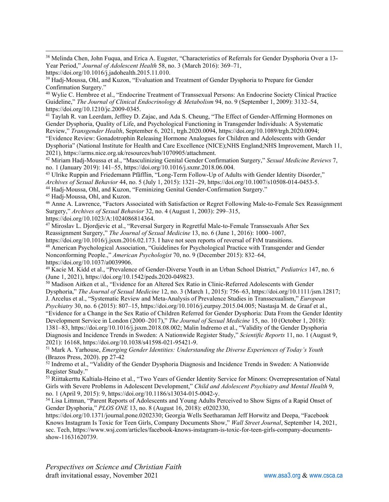<span id="page-23-0"></span><sup>38</sup> Melinda Chen, John Fuqua, and Erica A. Eugster, "Characteristics of Referrals for Gender Dysphoria Over a 13- Year Period," *Journal of Adolescent Health* 58, no. 3 (March 2016): 369–71,

<span id="page-23-2"></span><sup>40</sup> Wylie C. Hembree et al., "Endocrine Treatment of Transsexual Persons: An Endocrine Society Clinical Practice Guideline," *The Journal of Clinical Endocrinology & Metabolism* 94, no. 9 (September 1, 2009): 3132–54, https://doi.org/10.1210/jc.2009-0345.

<span id="page-23-3"></span><sup>41</sup> Taylah R. van Leerdam, Jeffrey D. Zajac, and Ada S. Cheung, "The Effect of Gender-Affirming Hormones on Gender Dysphoria, Quality of Life, and Psychological Functioning in Transgender Individuals: A Systematic Review," *Transgender Health*, September 6, 2021, trgh.2020.0094, https://doi.org/10.1089/trgh.2020.0094; "Evidence Review: Gonadotrophin Releasing Hormone Analogues for Children and Adolescents with Gender

Dysphoria" (National Institute for Health and Care Excellence (NICE);NHS England;NHS Improvement, March 11, 2021), https://arms.nice.org.uk/resources/hub/1070905/attachment.

<span id="page-23-4"></span><sup>42</sup> Miriam Hadj-Moussa et al., "Masculinizing Genital Gender Confirmation Surgery," *Sexual Medicine Reviews* 7, no. 1 (January 2019): 141–55, https://doi.org/10.1016/j.sxmr.2018.06.004.

<span id="page-23-5"></span><sup>43</sup> Ulrike Ruppin and Friedemann Pfäfflin, "Long-Term Follow-Up of Adults with Gender Identity Disorder," *Archives of Sexual Behavior* 44, no. 5 (July 1, 2015): 1321–29, https://doi.org/10.1007/s10508-014-0453-5.

<span id="page-23-6"></span><sup>44</sup> Hadj-Moussa, Ohl, and Kuzon, "Feminizing Genital Gender-Confirmation Surgery."

<span id="page-23-7"></span><sup>45</sup> Hadj-Moussa, Ohl, and Kuzon.

<span id="page-23-8"></span><sup>46</sup> Anne A. Lawrence, "Factors Associated with Satisfaction or Regret Following Male-to-Female Sex Reassignment Surgery," *Archives of Sexual Behavior* 32, no. 4 (August 1, 2003): 299–315,

https://doi.org/10.1023/A:1024086814364.

<span id="page-23-9"></span><sup>47</sup> Miroslav L. Djordjevic et al., "Reversal Surgery in Regretful Male-to-Female Transsexuals After Sex Reassignment Surgery," *The Journal of Sexual Medicine* 13, no. 6 (June 1, 2016): 1000–1007,

<span id="page-23-10"></span>https://doi.org/10.1016/j.jsxm.2016.02.173. I have not seen reports of reversal of FtM transitions. <sup>48</sup> American Psychological Association, "Guidelines for Psychological Practice with Transgender and Gender Nonconforming People.," *American Psychologist* 70, no. 9 (December 2015): 832–64, https://doi.org/10.1037/a0039906.

<span id="page-23-11"></span><sup>49</sup> Kacie M. Kidd et al., "Prevalence of Gender-Diverse Youth in an Urban School District," *Pediatrics* 147, no. 6 (June 1, 2021), https://doi.org/10.1542/peds.2020-049823.

<span id="page-23-12"></span>50 Madison Aitken et al., "Evidence for an Altered Sex Ratio in Clinic-Referred Adolescents with Gender Dysphoria," *The Journal of Sexual Medicine* 12, no. 3 (March 1, 2015): 756–63, https://doi.org/10.1111/jsm.12817; J. Arcelus et al., "Systematic Review and Meta-Analysis of Prevalence Studies in Transsexualism," *European Psychiatry* 30, no. 6 (2015): 807–15, https://doi.org/10.1016/j.eurpsy.2015.04.005; Nastasja M. de Graaf et al., "Evidence for a Change in the Sex Ratio of Children Referred for Gender Dysphoria: Data From the Gender Identity Development Service in London (2000–2017)," *The Journal of Sexual Medicine* 15, no. 10 (October 1, 2018): 1381–83, https://doi.org/10.1016/j.jsxm.2018.08.002; Malin Indremo et al., "Validity of the Gender Dysphoria Diagnosis and Incidence Trends in Sweden: A Nationwide Register Study," *Scientific Reports* 11, no. 1 (August 9, 2021): 16168, https://doi.org/10.1038/s41598-021-95421-9.

<span id="page-23-13"></span><sup>51</sup> Mark A. Yarhouse, *Emerging Gender Identities: Understanding the Diverse Experiences of Today's Youth* (Brazos Press, 2020). pp 27-42

<span id="page-23-14"></span> $52$  Indremo et al., "Validity of the Gender Dysphoria Diagnosis and Incidence Trends in Sweden: A Nationwide Register Study."

<span id="page-23-15"></span><sup>53</sup> Riittakerttu Kaltiala-Heino et al., "Two Years of Gender Identity Service for Minors: Overrepresentation of Natal Girls with Severe Problems in Adolescent Development," *Child and Adolescent Psychiatry and Mental Health* 9, no. 1 (April 9, 2015): 9, https://doi.org/10.1186/s13034-015-0042-y.

<span id="page-23-16"></span><sup>54</sup> Lisa Littman, "Parent Reports of Adolescents and Young Adults Perceived to Show Signs of a Rapid Onset of Gender Dysphoria," *PLOS ONE* 13, no. 8 (August 16, 2018): e0202330,

https://doi.org/10.1371/journal.pone.0202330; Georgia Wells Seetharaman Jeff Horwitz and Deepa, "Facebook Knows Instagram Is Toxic for Teen Girls, Company Documents Show," *Wall Street Journal*, September 14, 2021, sec. Tech, https://www.wsj.com/articles/facebook-knows-instagram-is-toxic-for-teen-girls-company-documentsshow-11631620739.

https://doi.org/10.1016/j.jadohealth.2015.11.010.

<span id="page-23-1"></span><sup>&</sup>lt;sup>39</sup> Hadj-Moussa, Ohl, and Kuzon, "Evaluation and Treatment of Gender Dysphoria to Prepare for Gender Confirmation Surgery."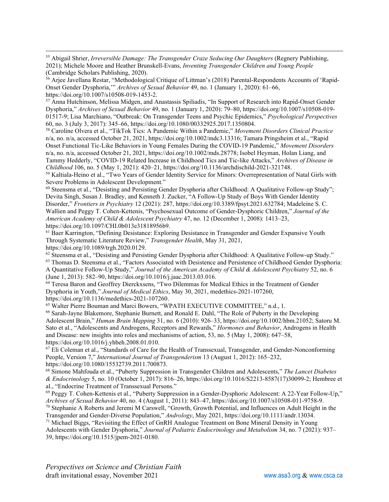<span id="page-24-0"></span><sup>55</sup> Abigail Shrier, *Irreversible Damage: The Transgender Craze Seducing Our Daughters* (Regnery Publishing, 2021); Michele Moore and Heather Brunskell-Evans, *Inventing Transgender Children and Young People* (Cambridge Scholars Publishing, 2020).

<span id="page-24-1"></span><sup>56</sup> Arjee Javellana Restar, "Methodological Critique of Littman's (2018) Parental-Respondents Accounts of 'Rapid-Onset Gender Dysphoria,'" *Archives of Sexual Behavior* 49, no. 1 (January 1, 2020): 61–66, https://doi.org/10.1007/s10508-019-1453-2.

<span id="page-24-2"></span><sup>57</sup> Anna Hutchinson, Melissa Midgen, and Anastassis Spiliadis, "In Support of Research into Rapid-Onset Gender Dysphoria," *Archives of Sexual Behavior* 49, no. 1 (January 1, 2020): 79–80, https://doi.org/10.1007/s10508-019- 01517-9; Lisa Marchiano, "Outbreak: On Transgender Teens and Psychic Epidemics," *Psychological Perspectives* 60, no. 3 (July 3, 2017): 345–66, https://doi.org/10.1080/00332925.2017.1350804.

<span id="page-24-3"></span><sup>58</sup> Caroline Olvera et al., "TikTok Tics: A Pandemic Within a Pandemic," *Movement Disorders Clinical Practice* n/a, no. n/a, accessed October 21, 2021, https://doi.org/10.1002/mdc3.13316; Tamara Pringsheim et al., "Rapid Onset Functional Tic-Like Behaviors in Young Females During the COVID-19 Pandemic," *Movement Disorders* n/a, no. n/a, accessed October 21, 2021, https://doi.org/10.1002/mds.28778; Isobel Heyman, Holan Liang, and Tammy Hedderly, "COVID-19 Related Increase in Childhood Tics and Tic-like Attacks," *Archives of Disease in Childhood* 106, no. 5 (May 1, 2021): 420–21, https://doi.org/10.1136/archdischild-2021-321748.

<span id="page-24-4"></span><sup>59</sup> Kaltiala-Heino et al., "Two Years of Gender Identity Service for Minors: Overrepresentation of Natal Girls with Severe Problems in Adolescent Development."

<span id="page-24-5"></span><sup>60</sup> Steensma et al., "Desisting and Persisting Gender Dysphoria after Childhood: A Qualitative Follow-up Study"; Devita Singh, Susan J. Bradley, and Kenneth J. Zucker, "A Follow-Up Study of Boys With Gender Identity Disorder," *Frontiers in Psychiatry* 12 (2021): 287, https://doi.org/10.3389/fpsyt.2021.632784; Madeleine S. C. Wallien and Peggy T. Cohen-Kettenis, "Psychosexual Outcome of Gender-Dysphoric Children," *Journal of the American Academy of Child & Adolescent Psychiatry* 47, no. 12 (December 1, 2008): 1413–23, https://doi.org/10.1097/CHI.0b013e31818956b9.

<span id="page-24-6"></span><sup>61</sup> Baer Karrington, "Defining Desistance: Exploring Desistance in Transgender and Gender Expansive Youth Through Systematic Literature Review," *Transgender Health*, May 31, 2021, https://doi.org/10.1089/trgh.2020.0129.

<span id="page-24-7"></span> $62$  Steensma et al., "Desisting and Persisting Gender Dysphoria after Childhood: A Qualitative Follow-up Study."

<span id="page-24-8"></span><sup>63</sup> Thomas D. Steensma et al., "Factors Associated with Desistence and Persistence of Childhood Gender Dysphoria:

A Quantitative Follow-Up Study," *Journal of the American Academy of Child & Adolescent Psychiatry* 52, no. 6 (June 1, 2013): 582–90, https://doi.org/10.1016/j.jaac.2013.03.016.

<span id="page-24-9"></span>64 Teresa Baron and Geoffrey Dierckxsens, "Two Dilemmas for Medical Ethics in the Treatment of Gender Dysphoria in Youth," *Journal of Medical Ethics*, May 30, 2021, medethics-2021-107260, https://doi.org/10.1136/medethics-2021-107260.

<span id="page-24-10"></span><sup>65</sup> Walter Pierre Bouman and Marci Bowers, "WPATH EXECUTIVE COMMITTEE," n.d., 1.

<span id="page-24-11"></span><sup>66</sup> Sarah-Jayne Blakemore, Stephanie Burnett, and Ronald E. Dahl, "The Role of Puberty in the Developing Adolescent Brain," *Human Brain Mapping* 31, no. 6 (2010): 926–33, https://doi.org/10.1002/hbm.21052; Satoru M. Sato et al., "Adolescents and Androgens, Receptors and Rewards," *Hormones and Behavior*, Androgens in Health and Disease: new insights into roles and mechanisms of action, 53, no. 5 (May 1, 2008): 647–58, https://doi.org/10.1016/j.yhbeh.2008.01.010.

<span id="page-24-12"></span><sup>67</sup> Eli Coleman et al., "Standards of Care for the Health of Transsexual, Transgender, and Gender-Nonconforming People, Version 7," *International Journal of Transgenderism* 13 (August 1, 2012): 165–232, https://doi.org/10.1080/15532739.2011.700873.

<span id="page-24-13"></span><sup>68</sup> Simone Mahfouda et al., "Puberty Suppression in Transgender Children and Adolescents," *The Lancet Diabetes & Endocrinology* 5, no. 10 (October 1, 2017): 816–26, https://doi.org/10.1016/S2213-8587(17)30099-2; Hembree et al., "Endocrine Treatment of Transsexual Persons."

<span id="page-24-14"></span><sup>69</sup> Peggy T. Cohen-Kettenis et al., "Puberty Suppression in a Gender-Dysphoric Adolescent: A 22-Year Follow-Up," *Archives of Sexual Behavior* 40, no. 4 (August 1, 2011): 843–47, https://doi.org/10.1007/s10508-011-9758-9.

<span id="page-24-15"></span><sup>70</sup> Stephanie A Roberts and Jeremi M Carswell, "Growth, Growth Potential, and Influences on Adult Height in the Transgender and Gender-Diverse Population," *Andrology*, May 2021, https://doi.org/10.1111/andr.13034.

<span id="page-24-16"></span><sup>71</sup> Michael Biggs, "Revisiting the Effect of GnRH Analogue Treatment on Bone Mineral Density in Young Adolescents with Gender Dysphoria," *Journal of Pediatric Endocrinology and Metabolism* 34, no. 7 (2021): 937– 39, https://doi.org/10.1515/jpem-2021-0180.

*Perspectives on Science and Christian Faith* draft invitational essay, November 2021 [www.asa3.org](http://www.asa3.org/) & [www.csca.ca](http://www.csca.ca/)